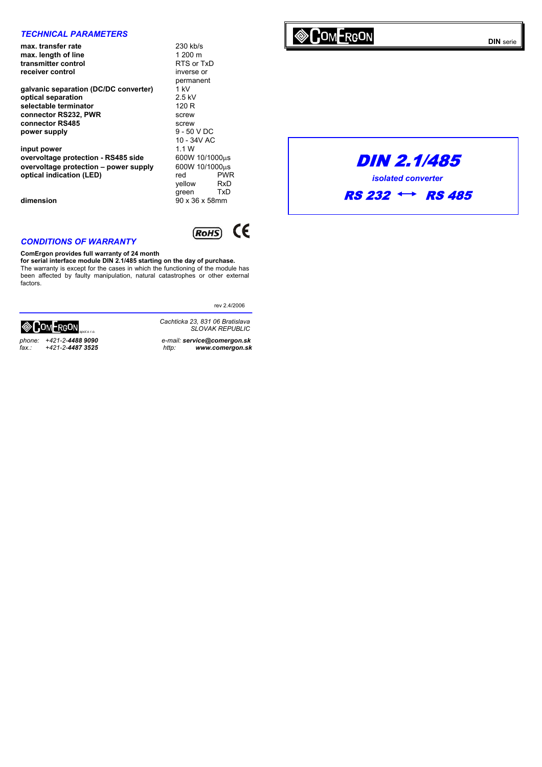## *TECHNICAL PARAMETERS*

| max. transfer rate                    | 230 kb/s       |            |
|---------------------------------------|----------------|------------|
| max. length of line                   | 1 200 m        |            |
| transmitter control                   | RTS or TxD     |            |
| receiver control                      | inverse or     |            |
|                                       | permanent      |            |
| galvanic separation (DC/DC converter) | 1 kV           |            |
| optical separation                    | $2.5$ kV       |            |
| selectable terminator                 | 120 R          |            |
| connector RS232, PWR                  | screw          |            |
| connector RS485                       | screw          |            |
| power supply                          | 9 - 50 V DC    |            |
|                                       | 10 - 34V AC    |            |
| input power                           | 1 1 W          |            |
| overvoltage protection - RS485 side   | 600W 10/1000us |            |
| overvoltage protection – power supply | 600W 10/1000us |            |
| optical indication (LED)              | red            | <b>PWR</b> |
|                                       | vellow         | RxD        |
|                                       | green          | TxD        |

**dimension** 90 x 36 x 58mm

#### *CONDITIONS OF WARRANTY*

**ComErgon provides full warranty of 24 month for serial interface module DIN 2.1/485 starting on the day of purchase.** The warranty is except for the cases in which the functioning of the module has been affected by faulty manipulation, natural catastrophes or other external factors.

rev 2.4/2006

 $\epsilon$ 

# $\circledast$  COM FRGON

*phone: +421-2-4488 9090 e-mail: service@comergon.sk*

*SLOVAK REPUBLIC*

*fax.: +421-2-4487 3525 http: www.comergon.sk*

*Cachticka 23, 831 06 Bratislava* 

 $(ROHS)$ 

# **COMERGON** DIN serie

# DIN 2.1/485 *isolated converter*   $RS$  232  $\leftrightarrow$  RS 485